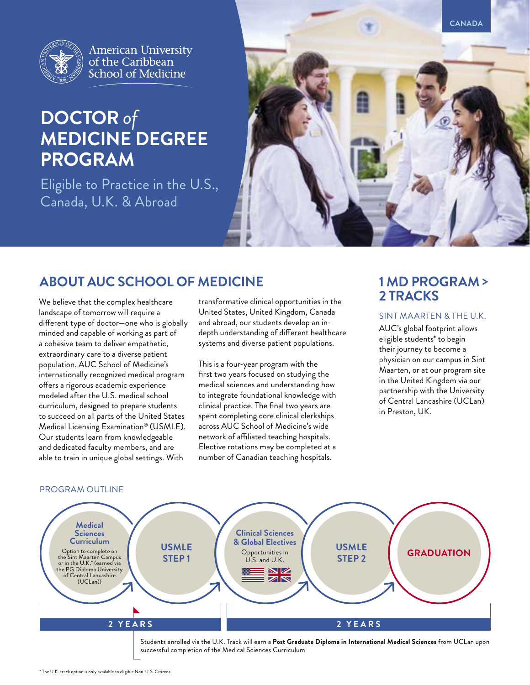

**American University** of the Caribbean School of Medicine

# **DOCTOR** *of* **MEDICINE DEGREE PROGRAM**

Eligible to Practice in the U.S., Canada, U.K. & Abroad



# **ABOUT AUC SCHOOL OF MEDICINE**

We believe that the complex healthcare landscape of tomorrow will require a different type of doctor—one who is globally minded and capable of working as part of a cohesive team to deliver empathetic, extraordinary care to a diverse patient population. AUC School of Medicine's internationally recognized medical program offers a rigorous academic experience modeled after the U.S. medical school curriculum, designed to prepare students to succeed on all parts of the United States Medical Licensing Examination® (USMLE). Our students learn from knowledgeable and dedicated faculty members, and are able to train in unique global settings. With

transformative clinical opportunities in the United States, United Kingdom, Canada and abroad, our students develop an indepth understanding of different healthcare systems and diverse patient populations.

This is a four-year program with the first two years focused on studying the medical sciences and understanding how to integrate foundational knowledge with clinical practice. The final two years are spent completing core clinical clerkships across AUC School of Medicine's wide network of affiliated teaching hospitals. Elective rotations may be completed at a number of Canadian teaching hospitals.

# **1 MD PROGRAM > 2 TRACKS**

### SINT MAARTEN & THE U.K.

AUC's global footprint allows eligible students\* to begin their journey to become a physician on our campus in Sint Maarten, or at our program site in the United Kingdom via our partnership with the University of Central Lancashire (UCLan) in Preston, UK.

#### PROGRAM OUTLINE

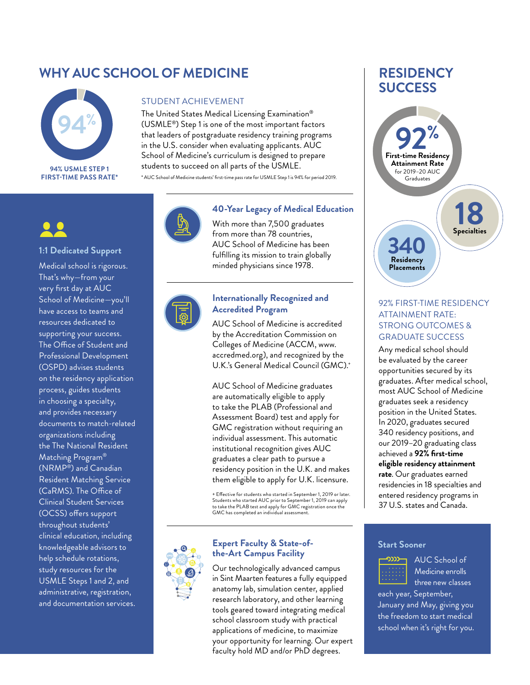# **WHY AUC SCHOOL OF MEDICINE**



**FIRST-TIME PASS RATE\***

### STUDENT ACHIEVEMENT

The United States Medical Licensing Examination® (USMLE®) Step 1 is one of the most important factors that leaders of postgraduate residency training programs in the U.S. consider when evaluating applicants. AUC School of Medicine's curriculum is designed to prepare students to succeed on all parts of the USMLE.

\* AUC School of Medicine students' first-time pass rate for USMLE Step 1 is 94% for period 2019.

#### **1:1 Dedicated Support**

Medical school is rigorous. That's why—from your very first day at AUC School of Medicine—you'll have access to teams and resources dedicated to supporting your success. The Office of Student and Professional Development (OSPD) advises students on the residency application process, guides students in choosing a specialty, and provides necessary documents to match-related organizations including the The National Resident Matching Program® (NRMP®) and Canadian Resident Matching Service (CaRMS). The Office of Clinical Student Services (OCSS) offers support throughout students' clinical education, including knowledgeable advisors to help schedule rotations, study resources for the USMLE Steps 1 and 2, and administrative, registration, and documentation services.



### **40-Year Legacy of Medical Education**

With more than 7,500 graduates from more than 78 countries, AUC School of Medicine has been fulfilling its mission to train globally minded physicians since 1978.



### **Internationally Recognized and Accredited Program**

AUC School of Medicine is accredited by the Accreditation Commission on Colleges of Medicine (ACCM, www. accredmed.org), and recognized by the U.K.'s General Medical Council (GMC).<sup>+</sup>

AUC School of Medicine graduates are automatically eligible to apply to take the PLAB (Professional and Assessment Board) test and apply for GMC registration without requiring an individual assessment. This automatic institutional recognition gives AUC graduates a clear path to pursue a residency position in the U.K. and makes them eligible to apply for U.K. licensure.

+ Effective for students who started in September 1, 2019 or later. Students who started AUC prior to September 1, 2019 can apply to take the PLAB test and apply for GMC registration once the GMC has completed an individual assessment.



### **Expert Faculty & State-ofthe-Art Campus Facility**

Our technologically advanced campus in Sint Maarten features a fully equipped anatomy lab, simulation center, applied research laboratory, and other learning tools geared toward integrating medical school classroom study with practical applications of medicine, to maximize your opportunity for learning. Our expert faculty hold MD and/or PhD degrees.

# **RESIDENCY SUCCESS**



### 92% FIRST-TIME RESIDENCY ATTAINMENT RATE: STRONG OUTCOMES & GRADUATE SUCCESS

Any medical school should be evaluated by the career opportunities secured by its graduates. After medical school, most AUC School of Medicine graduates seek a residency position in the United States. In 2020, graduates secured 340 residency positions, and our 2019–20 graduating class achieved a **92% first-time eligible residency attainment rate**. Our graduates earned residencies in 18 specialties and entered residency programs in 37 U.S. states and Canada.

#### **Start Sooner**



AUC School of Medicine enrolls three new classes

each year, September, January and May, giving you the freedom to start medical school when it's right for you.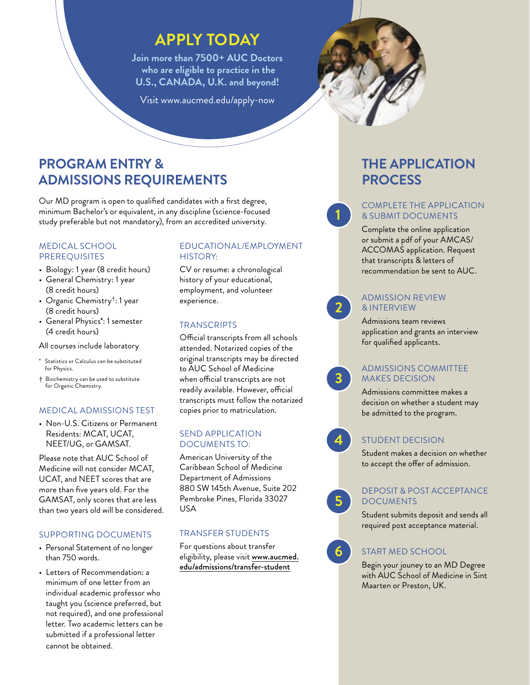# **APPLY TODAY**

**Join more than 7500+ AUC Doctors who are eligible to practice in the U.S., CANADA, U.K. and beyond!**

Visit www.aucmed.edu/apply-now



Our MD program is open to qualified candidates with a first degree, minimum Bachelor's or equivalent, in any discipline (science-focused study preferable but not mandatory), from an accredited university.

#### MEDICAL SCHOOL PREREQUISITES

- Biology: 1 year (8 credit hours)
- General Chemistry: 1 year (8 credit hours)
- Organic Chemistry†: 1 year (8 credit hours)
- General Physics\*: 1 semester (4 credit hours)

All courses include laboratory

- Statistics or Calculus can be substituted for Physics.
- † Biochemistry can be used to substitute for Organic Chemistry.

# MEDICAL ADMISSIONS TEST

• Non-U.S. Citizens or Permanent Residents: MCAT, UCAT, NEET/UG, or GAMSAT.

Please note that AUC School of Medicine will not consider MCAT, UCAT, and NEET scores that are more than five years old. For the GAMSAT, only scores that are less than two years old will be considered.

# SUPPORTING DOCUMENTS

- Personal Statement of no longer than 750 words.
- Letters of Recommendation: a minimum of one letter from an individual academic professor who taught you (science preferred, but not required), and one professional letter. Two academic letters can be submitted if a professional letter cannot be obtained.

### EDUCATIONAL/EMPLOYMENT HISTORY:

CV or resume: a chronological history of your educational, employment, and volunteer experience.

# **TRANSCRIPTS**

Official transcripts from all schools attended. Notarized copies of the original transcripts may be directed to AUC School of Medicine when official transcripts are not readily available. However, official transcripts must follow the notarized copies prior to matriculation.

### SEND APPLICATION DOCUMENTS TO:

American University of the Caribbean School of Medicine Department of Admissions 880 SW 145th Avenue, Suite 202 Pembroke Pines, Florida 33027 USA

# TRANSFER STUDENTS

For questions about transfer eligibility, please visit [www.aucmed.](https://www.aucmed.edu/admissions/transfer-students) [edu/admissions/transfer-student](https://www.aucmed.edu/admissions/transfer-students)

# **THE APPLICATION PROCESS**

### COMPLETE THE APPLICATION & SUBMIT DOCUMENTS

Complete the online application or submit a pdf of your AMCAS/ ACCOMAS application. Request that transcripts & letters of recommendation be sent to AUC.

### ADMISSION REVIEW & INTERVIEW

Admissions team reviews application and grants an interview for qualified applicants.

### ADMISSIONS COMMITTEE MAKES DECISION

Admissions committee makes a decision on whether a student may be admitted to the program.

**4**

**1**

**2**

**3**

# STUDENT DECISION

Student makes a decision on whether to accept the offer of admission.



Student submits deposit and sends all required post acceptance material.

**6**

**5**

# START MED SCHOOL

Begin your jouney to an MD Degree with AUC School of Medicine in Sint Maarten or Preston, UK.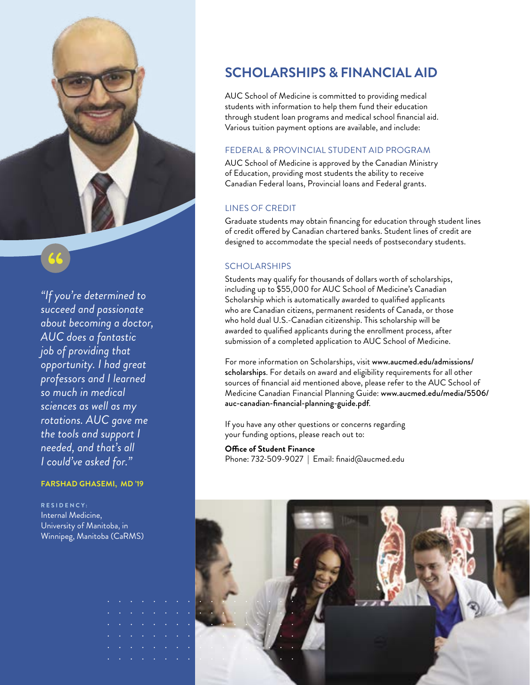

*"If you're determined to succeed and passionate about becoming a doctor, AUC does a fantastic job of providing that opportunity. I had great professors and I learned so much in medical sciences as well as my rotations. AUC gave me the tools and support I needed, and that's all I could've asked for."*

#### **FARSHAD GHASEMI, MD '19**

**R E S I D E N C Y :**  Internal Medicine, University of Manitoba, in Winnipeg, Manitoba (CaRMS)

# **SCHOLARSHIPS & FINANCIAL AID**

AUC School of Medicine is committed to providing medical students with information to help them fund their education through student loan programs and medical school financial aid. Various tuition payment options are available, and include:

#### FEDERAL & PROVINCIAL STUDENT AID PROGRAM

AUC School of Medicine is approved by the Canadian Ministry of Education, providing most students the ability to receive Canadian Federal loans, Provincial loans and Federal grants.

#### LINES OF CREDIT

Graduate students may obtain financing for education through student lines of credit offered by Canadian chartered banks. Student lines of credit are designed to accommodate the special needs of postsecondary students.

### **SCHOLARSHIPS**

Students may qualify for thousands of dollars worth of scholarships, including up to \$55,000 for AUC School of Medicine's Canadian Scholarship which is automatically awarded to qualified applicants who are Canadian citizens, permanent residents of Canada, or those who hold dual U.S.-Canadian citizenship. This scholarship will be awarded to qualified applicants during the enrollment process, after submission of a completed application to AUC School of Medicine.

For more information on Scholarships, visit www.aucmed.edu/admissions/ scholarships. For details on award and eligibility requirements for all other sources of financial aid mentioned above, please refer to the AUC School of Medicine Canadian Financial Planning Guide: www.aucmed.edu/media/5506/ auc-canadian-financial-planning-guide.pdf.

If you have any other questions or concerns regarding your funding options, please reach out to:

**Office of Student Finance** Phone: 732-509-9027 | Email: finaid@aucmed.edu

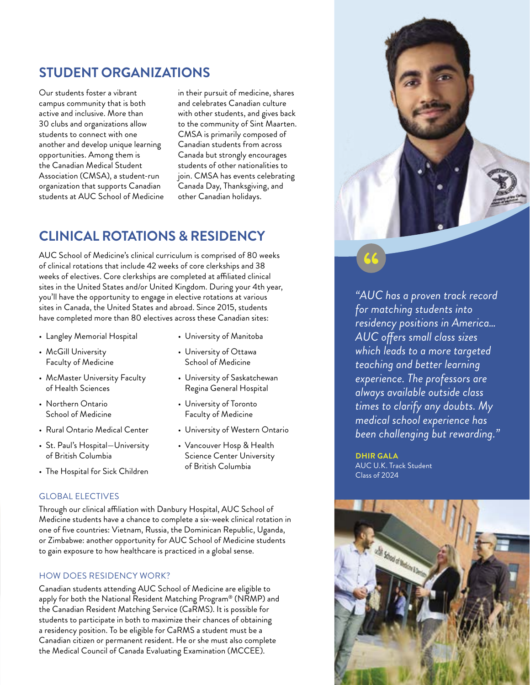# **STUDENT ORGANIZATIONS**

Our students foster a vibrant campus community that is both active and inclusive. More than 30 clubs and organizations allow students to connect with one another and develop unique learning opportunities. Among them is the Canadian Medical Student Association (CMSA), a student-run organization that supports Canadian students at AUC School of Medicine

in their pursuit of medicine, shares and celebrates Canadian culture with other students, and gives back to the community of Sint Maarten. CMSA is primarily composed of Canadian students from across Canada but strongly encourages students of other nationalities to join. CMSA has events celebrating Canada Day, Thanksgiving, and other Canadian holidays.

# **CLINICAL ROTATIONS & RESIDENCY**

AUC School of Medicine's clinical curriculum is comprised of 80 weeks of clinical rotations that include 42 weeks of core clerkships and 38 weeks of electives. Core clerkships are completed at affiliated clinical sites in the United States and/or United Kingdom. During your 4th year, you'll have the opportunity to engage in elective rotations at various sites in Canada, the United States and abroad. Since 2015, students have completed more than 80 electives across these Canadian sites:

- Langley Memorial Hospital
- McGill University Faculty of Medicine
- McMaster University Faculty of Health Sciences
- Northern Ontario School of Medicine
- Rural Ontario Medical Center
- St. Paul's Hospital—University of British Columbia
- The Hospital for Sick Children

#### GLOBAL ELECTIVES

Through our clinical affiliation with Danbury Hospital, AUC School of Medicine students have a chance to complete a six-week clinical rotation in one of five countries: Vietnam, Russia, the Dominican Republic, Uganda, or Zimbabwe: another opportunity for AUC School of Medicine students to gain exposure to how healthcare is practiced in a global sense.

### HOW DOES RESIDENCY WORK?

Canadian students attending AUC School of Medicine are eligible to apply for both the National Resident Matching Program® (NRMP) and the Canadian Resident Matching Service (CaRMS). It is possible for students to participate in both to maximize their chances of obtaining a residency position. To be eligible for CaRMS a student must be a Canadian citizen or permanent resident. He or she must also complete the Medical Council of Canada Evaluating Examination (MCCEE).



- University of Ottawa School of Medicine
- University of Saskatchewan Regina General Hospital
- University of Toronto Faculty of Medicine
- University of Western Ontario
- Vancouver Hosp & Health Science Center University of British Columbia



*"AUC has a proven track record for matching students into residency positions in America… AUC offers small class sizes which leads to a more targeted teaching and better learning experience. The professors are always available outside class times to clarify any doubts. My medical school experience has been challenging but rewarding."*

**DHIR GALA** AUC U.K. Track Student Class of 2024